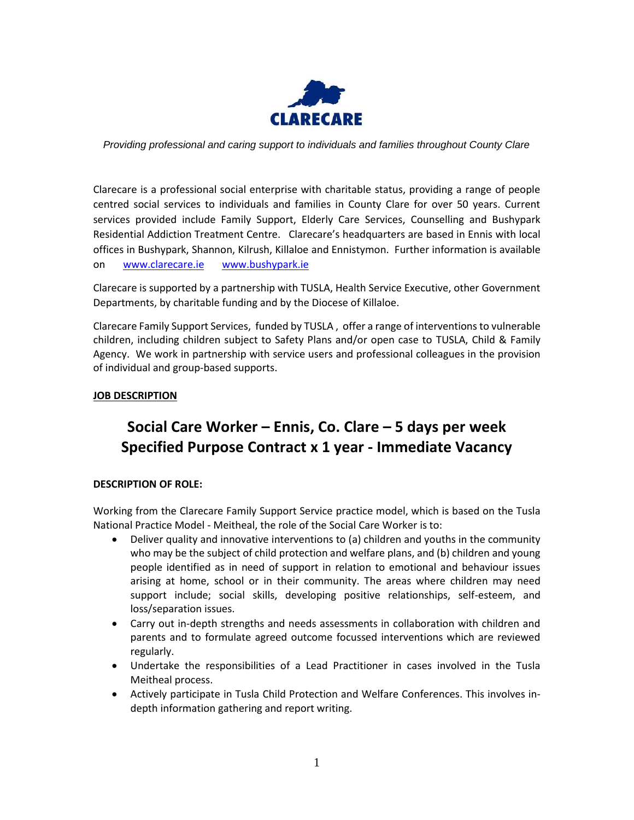

*Providing professional and caring support to individuals and families throughout County Clare*

Clarecare is a professional social enterprise with charitable status, providing a range of people centred social services to individuals and families in County Clare for over 50 years. Current services provided include Family Support, Elderly Care Services, Counselling and Bushypark Residential Addiction Treatment Centre. Clarecare's headquarters are based in Ennis with local offices in Bushypark, Shannon, Kilrush, Killaloe and Ennistymon. Further information is available on [www.clarecare.ie](http://www.clarecare.ie/) [www.bushypark.ie](http://www.bushypark.ie/) 

Clarecare is supported by a partnership with TUSLA, Health Service Executive, other Government Departments, by charitable funding and by the Diocese of Killaloe.

Clarecare Family Support Services, funded by TUSLA , offer a range of interventions to vulnerable children, including children subject to Safety Plans and/or open case to TUSLA, Child & Family Agency. We work in partnership with service users and professional colleagues in the provision of individual and group-based supports.

# **JOB DESCRIPTION**

# **Social Care Worker – Ennis, Co. Clare – 5 days per week Specified Purpose Contract x 1 year - Immediate Vacancy**

## **DESCRIPTION OF ROLE:**

Working from the Clarecare Family Support Service practice model, which is based on the Tusla National Practice Model - Meitheal, the role of the Social Care Worker is to:

- Deliver quality and innovative interventions to (a) children and youths in the community who may be the subject of child protection and welfare plans, and (b) children and young people identified as in need of support in relation to emotional and behaviour issues arising at home, school or in their community. The areas where children may need support include; social skills, developing positive relationships, self-esteem, and loss/separation issues.
- Carry out in-depth strengths and needs assessments in collaboration with children and parents and to formulate agreed outcome focussed interventions which are reviewed regularly.
- Undertake the responsibilities of a Lead Practitioner in cases involved in the Tusla Meitheal process.
- Actively participate in Tusla Child Protection and Welfare Conferences. This involves indepth information gathering and report writing.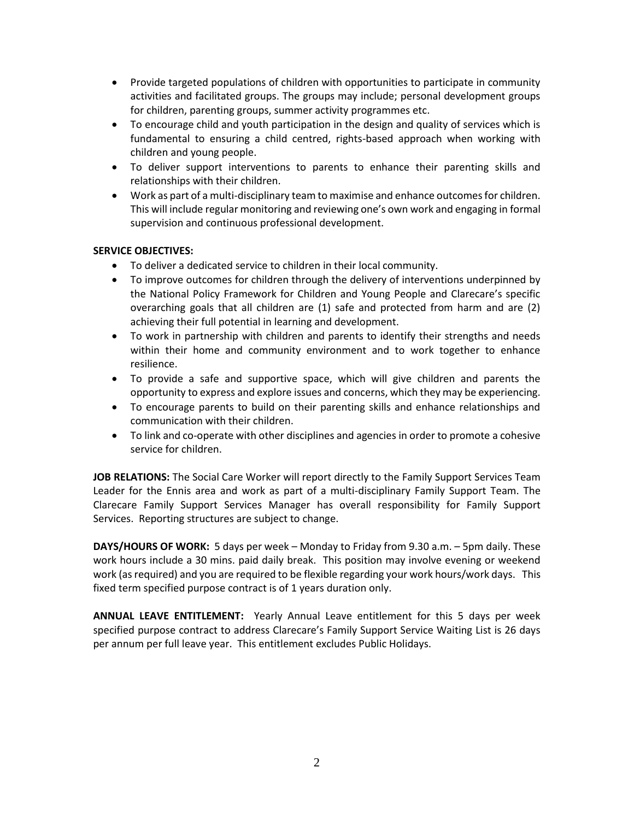- Provide targeted populations of children with opportunities to participate in community activities and facilitated groups. The groups may include; personal development groups for children, parenting groups, summer activity programmes etc.
- To encourage child and youth participation in the design and quality of services which is fundamental to ensuring a child centred, rights-based approach when working with children and young people.
- To deliver support interventions to parents to enhance their parenting skills and relationships with their children.
- Work as part of a multi-disciplinary team to maximise and enhance outcomes for children. This will include regular monitoring and reviewing one's own work and engaging in formal supervision and continuous professional development.

# **SERVICE OBJECTIVES:**

- To deliver a dedicated service to children in their local community.
- To improve outcomes for children through the delivery of interventions underpinned by the National Policy Framework for Children and Young People and Clarecare's specific overarching goals that all children are (1) safe and protected from harm and are (2) achieving their full potential in learning and development.
- To work in partnership with children and parents to identify their strengths and needs within their home and community environment and to work together to enhance resilience.
- To provide a safe and supportive space, which will give children and parents the opportunity to express and explore issues and concerns, which they may be experiencing.
- To encourage parents to build on their parenting skills and enhance relationships and communication with their children.
- To link and co-operate with other disciplines and agencies in order to promote a cohesive service for children.

**JOB RELATIONS:** The Social Care Worker will report directly to the Family Support Services Team Leader for the Ennis area and work as part of a multi-disciplinary Family Support Team. The Clarecare Family Support Services Manager has overall responsibility for Family Support Services. Reporting structures are subject to change.

**DAYS/HOURS OF WORK:** 5 days per week – Monday to Friday from 9.30 a.m. – 5pm daily. These work hours include a 30 mins. paid daily break. This position may involve evening or weekend work (as required) and you are required to be flexible regarding your work hours/work days. This fixed term specified purpose contract is of 1 years duration only.

**ANNUAL LEAVE ENTITLEMENT:** Yearly Annual Leave entitlement for this 5 days per week specified purpose contract to address Clarecare's Family Support Service Waiting List is 26 days per annum per full leave year. This entitlement excludes Public Holidays.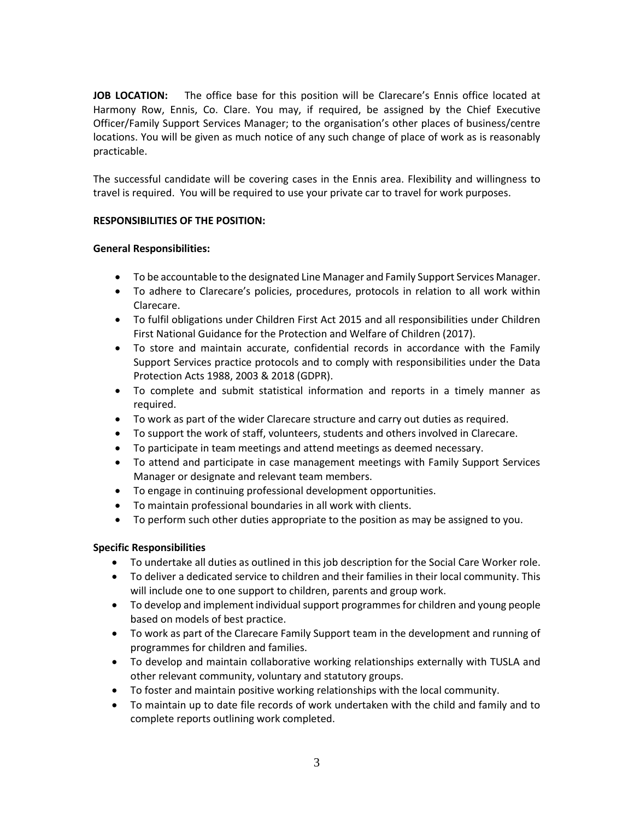**JOB LOCATION:** The office base for this position will be Clarecare's Ennis office located at Harmony Row, Ennis, Co. Clare. You may, if required, be assigned by the Chief Executive Officer/Family Support Services Manager; to the organisation's other places of business/centre locations. You will be given as much notice of any such change of place of work as is reasonably practicable.

The successful candidate will be covering cases in the Ennis area. Flexibility and willingness to travel is required. You will be required to use your private car to travel for work purposes.

# **RESPONSIBILITIES OF THE POSITION:**

# **General Responsibilities:**

- To be accountable to the designated Line Manager and Family Support Services Manager.
- To adhere to Clarecare's policies, procedures, protocols in relation to all work within Clarecare.
- To fulfil obligations under Children First Act 2015 and all responsibilities under Children First National Guidance for the Protection and Welfare of Children (2017).
- To store and maintain accurate, confidential records in accordance with the Family Support Services practice protocols and to comply with responsibilities under the Data Protection Acts 1988, 2003 & 2018 (GDPR).
- To complete and submit statistical information and reports in a timely manner as required.
- To work as part of the wider Clarecare structure and carry out duties as required.
- To support the work of staff, volunteers, students and others involved in Clarecare.
- To participate in team meetings and attend meetings as deemed necessary.
- To attend and participate in case management meetings with Family Support Services Manager or designate and relevant team members.
- To engage in continuing professional development opportunities.
- To maintain professional boundaries in all work with clients.
- To perform such other duties appropriate to the position as may be assigned to you.

## **Specific Responsibilities**

- To undertake all duties as outlined in this job description for the Social Care Worker role.
- To deliver a dedicated service to children and their families in their local community. This will include one to one support to children, parents and group work.
- To develop and implement individual support programmes for children and young people based on models of best practice.
- To work as part of the Clarecare Family Support team in the development and running of programmes for children and families.
- To develop and maintain collaborative working relationships externally with TUSLA and other relevant community, voluntary and statutory groups.
- To foster and maintain positive working relationships with the local community.
- To maintain up to date file records of work undertaken with the child and family and to complete reports outlining work completed.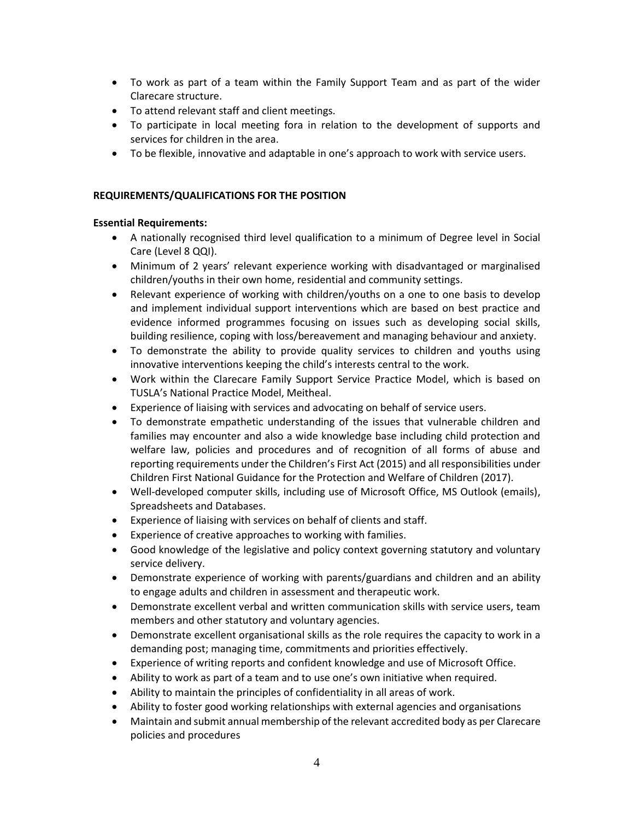- To work as part of a team within the Family Support Team and as part of the wider Clarecare structure.
- To attend relevant staff and client meetings.
- To participate in local meeting fora in relation to the development of supports and services for children in the area.
- To be flexible, innovative and adaptable in one's approach to work with service users.

# **REQUIREMENTS/QUALIFICATIONS FOR THE POSITION**

# **Essential Requirements:**

- A nationally recognised third level qualification to a minimum of Degree level in Social Care (Level 8 QQI).
- Minimum of 2 years' relevant experience working with disadvantaged or marginalised children/youths in their own home, residential and community settings.
- Relevant experience of working with children/youths on a one to one basis to develop and implement individual support interventions which are based on best practice and evidence informed programmes focusing on issues such as developing social skills, building resilience, coping with loss/bereavement and managing behaviour and anxiety.
- To demonstrate the ability to provide quality services to children and youths using innovative interventions keeping the child's interests central to the work.
- Work within the Clarecare Family Support Service Practice Model, which is based on TUSLA's National Practice Model, Meitheal.
- Experience of liaising with services and advocating on behalf of service users.
- To demonstrate empathetic understanding of the issues that vulnerable children and families may encounter and also a wide knowledge base including child protection and welfare law, policies and procedures and of recognition of all forms of abuse and reporting requirements under the Children's First Act (2015) and all responsibilities under Children First National Guidance for the Protection and Welfare of Children (2017).
- Well-developed computer skills, including use of Microsoft Office, MS Outlook (emails), Spreadsheets and Databases.
- Experience of liaising with services on behalf of clients and staff.
- Experience of creative approaches to working with families.
- Good knowledge of the legislative and policy context governing statutory and voluntary service delivery.
- Demonstrate experience of working with parents/guardians and children and an ability to engage adults and children in assessment and therapeutic work.
- Demonstrate excellent verbal and written communication skills with service users, team members and other statutory and voluntary agencies.
- Demonstrate excellent organisational skills as the role requires the capacity to work in a demanding post; managing time, commitments and priorities effectively.
- Experience of writing reports and confident knowledge and use of Microsoft Office.
- Ability to work as part of a team and to use one's own initiative when required.
- Ability to maintain the principles of confidentiality in all areas of work.
- Ability to foster good working relationships with external agencies and organisations
- Maintain and submit annual membership of the relevant accredited body as per Clarecare policies and procedures